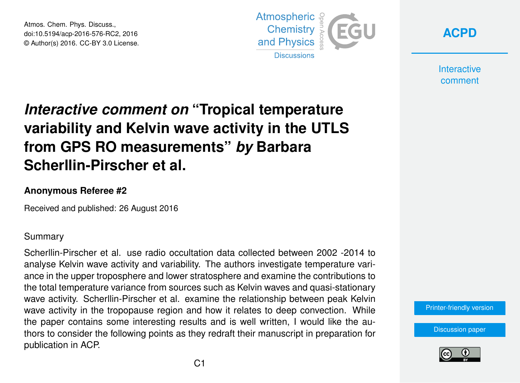Atmos. Chem. Phys. Discuss., doi:10.5194/acp-2016-576-RC2, 2016 © Author(s) 2016. CC-BY 3.0 License.



**[ACPD](http://www.atmos-chem-phys-discuss.net/)**

**Interactive** comment

# *Interactive comment on* **"Tropical temperature variability and Kelvin wave activity in the UTLS from GPS RO measurements"** *by* **Barbara Scherllin-Pirscher et al.**

#### **Anonymous Referee #2**

Received and published: 26 August 2016

#### Summary

Scherllin-Pirscher et al. use radio occultation data collected between 2002 -2014 to analyse Kelvin wave activity and variability. The authors investigate temperature variance in the upper troposphere and lower stratosphere and examine the contributions to the total temperature variance from sources such as Kelvin waves and quasi-stationary wave activity. Scherllin-Pirscher et al. examine the relationship between peak Kelvin wave activity in the tropopause region and how it relates to deep convection. While the paper contains some interesting results and is well written, I would like the authors to consider the following points as they redraft their manuscript in preparation for publication in ACP.

[Printer-friendly version](http://www.atmos-chem-phys-discuss.net/acp-2016-576/acp-2016-576-RC2-print.pdf)

[Discussion paper](http://www.atmos-chem-phys-discuss.net/acp-2016-576)

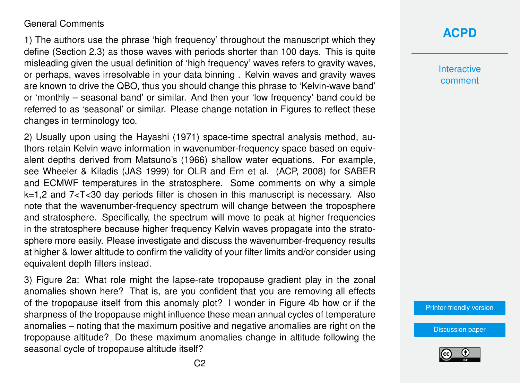#### General Comments

1) The authors use the phrase 'high frequency' throughout the manuscript which they define (Section 2.3) as those waves with periods shorter than 100 days. This is quite misleading given the usual definition of 'high frequency' waves refers to gravity waves, or perhaps, waves irresolvable in your data binning . Kelvin waves and gravity waves are known to drive the QBO, thus you should change this phrase to 'Kelvin-wave band' or 'monthly – seasonal band' or similar. And then your 'low frequency' band could be referred to as 'seasonal' or similar. Please change notation in Figures to reflect these changes in terminology too.

2) Usually upon using the Hayashi (1971) space-time spectral analysis method, authors retain Kelvin wave information in wavenumber-frequency space based on equivalent depths derived from Matsuno's (1966) shallow water equations. For example, see Wheeler & Kiladis (JAS 1999) for OLR and Ern et al. (ACP, 2008) for SABER and ECMWF temperatures in the stratosphere. Some comments on why a simple k=1,2 and 7<T<30 day periods filter is chosen in this manuscript is necessary. Also note that the wavenumber-frequency spectrum will change between the troposphere and stratosphere. Specifically, the spectrum will move to peak at higher frequencies in the stratosphere because higher frequency Kelvin waves propagate into the stratosphere more easily. Please investigate and discuss the wavenumber-frequency results at higher & lower altitude to confirm the validity of your filter limits and/or consider using equivalent depth filters instead.

3) Figure 2a: What role might the lapse-rate tropopause gradient play in the zonal anomalies shown here? That is, are you confident that you are removing all effects of the tropopause itself from this anomaly plot? I wonder in Figure 4b how or if the sharpness of the tropopause might influence these mean annual cycles of temperature anomalies – noting that the maximum positive and negative anomalies are right on the tropopause altitude? Do these maximum anomalies change in altitude following the seasonal cycle of tropopause altitude itself?

### **[ACPD](http://www.atmos-chem-phys-discuss.net/)**

**Interactive** comment

[Printer-friendly version](http://www.atmos-chem-phys-discuss.net/acp-2016-576/acp-2016-576-RC2-print.pdf)

[Discussion paper](http://www.atmos-chem-phys-discuss.net/acp-2016-576)